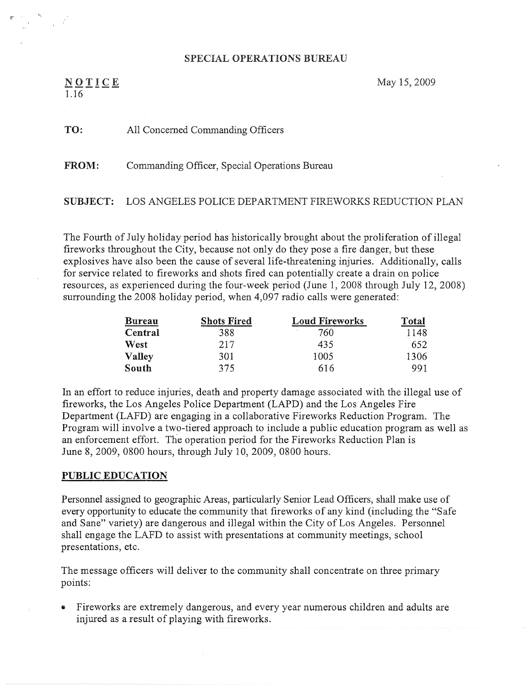## SPECIAL OPERATIONS BUREAU

 $NOTICE$ 1.I6

May 15, 2009

## TO: All Concerned Commanding Officers

## FROM: Commanding Officer, Special Operations Bureau

# SUBJECT: LOS ANGELES POLICE DEPARTMENT FIREWORKS REDUCTION PLAN

The Fourth of July holiday period has historically brought about the proliferation of illegal fireworks throughout the City, because not only do they pose a fire danger, but these explosives have also been the cause of several life-threatening injuries. Additionally, calls for service related to fireworks and shots fired can potentially create a drain on police resources, as experienced during the four-week period (June 1, 2008 through July 12, 2008) surrounding the 2008 holiday period, when 4,097 radio calls were generated:

| <b>Bureau</b> | <b>Shots Fired</b> | <b>Loud Fireworks</b> | Total |
|---------------|--------------------|-----------------------|-------|
| Central       | 388                | $\epsilon$<br>760     | 1148  |
| West          | 217                | 435                   | 652.  |
| Valley        | 301                | 1005                  | 1306  |
| South         | 375                | 616                   | 991   |

In an effort to reduce injuries, death and property damage associated with the illegal use of fireworks, the Los Angeles Police Department (LAPD) and the Los Angeles Fire Department (LAFD) are engaging in a collaborative Fireworks Reduction Program. The Program will involve atwo-tiered approach to include a public education program as well as an enforcement effort. The operation period for the Fireworks Reduction Plan is June 8, 2009, 0800 hours, through July 10, 2009, 0800 hours.

#### PUBLIC EDUCATION

personnel assigned to geographic Areas, particularly Senior Lead Officers, shall make use of every opportunity to educate the community that fireworks of any kind (including the "Safe and Sane" variety) are dangerous and illegal within the City of Los Angeles. Personnel shall engage the LAFD to assist with presentations at community meetings, school presentations, etc.

The message officers will deliver to the community shall concentrate on three primary points:

• Fireworks are extremely dangerous, and every year numerous children and adults are injured as a result of playing with fireworks.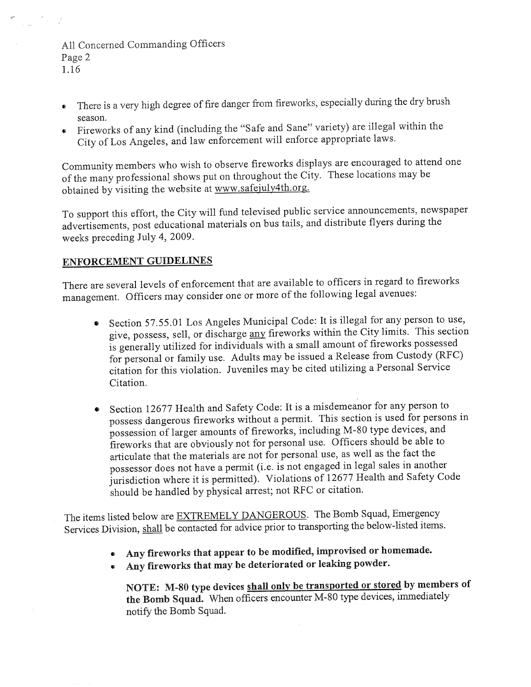# All Concerned Commanding Officers Page 2 1.16

 $\frac{1}{\sqrt{2\pi\epsilon}}\frac{1}{\sqrt{2\pi\epsilon}}\frac{1}{\sqrt{2\pi\epsilon}}\frac{1}{\sqrt{2\pi\epsilon}}\frac{1}{\sqrt{2\pi\epsilon}}\frac{1}{\sqrt{2\pi\epsilon}}\frac{1}{\sqrt{2\pi\epsilon}}\frac{1}{\sqrt{2\pi\epsilon}}\frac{1}{\sqrt{2\pi\epsilon}}\frac{1}{\sqrt{2\pi\epsilon}}\frac{1}{\sqrt{2\pi\epsilon}}\frac{1}{\sqrt{2\pi\epsilon}}\frac{1}{\sqrt{2\pi\epsilon}}\frac{1}{\sqrt{2\pi\epsilon}}\frac{1}{\sqrt{2\pi\epsilon}}\frac{1}{\sqrt{2\$ 

- ~ There is a very high degree of fire danger from fireworks, especially during the dry brush season.
- • Fireworks of any kind (including the "Safe and Sane" variety} are illegal within the <sup>C</sup>ity of Los Angeles, and law enforcement wi11 enforce appropriate laws.

<sup>C</sup>ommunity members who wish to observe fireworks displays are encouraged to attend one of the many professional shows put on throughout the City. These locations maybe obtained by visiting the website at www.safejuly4th.org.

<sup>T</sup>o support this effort, the City wi11 fund televised public service announcements, newspaper advertisements, post educational materials on bus tails, and distribute flyers during the <sup>w</sup>eeks preceding July 4, 2009.

# **ENFORCEMENT GUIDELINES**

<sup>T</sup>here are several levels of enforcement that are available to officers in regard to fireworks management. Officers may consider one or mare of the following legal avenues:

- Section 57.55.01 Los Angeles Municipal Code: It is illegal for any person to use, give, possess, sell, or discharge any fireworks within the City limits. This section <sup>i</sup>s generally utilized for individuals with a small amount of fireworks possessed <sup>f</sup>or personal or family use. Adults may be issued a Release from Custody (RFC) <sup>c</sup>itation for this violation. juveniles maybe cited utilizing a Personal Service Citation.
- <sup>S</sup>ection 12677 Health and Safety Code: It is a misdemeanor for any person to possess dangerous fireworks without a permit. This section is used for persons in <sup>p</sup>ossession of larger amounts of fireworks, including M-80 type devices, and <sup>f</sup>ireworks that are obviously not for personal use. Officers should be able to <sup>a</sup>rticulate that the materials are not for personal use, as well as the fact the <sup>p</sup>ossessor does not have a permit (i.e. is not engaged in legal sales in another <sup>j</sup>urisdiction where it is permitted). Violations of 12677 Health and Safety Code <sup>s</sup>hould be handled by physical arrest; not RFC or citation.

<sup>T</sup>he items listed below are EXTREMELY DANGEROUS. The Bomb Squad, Emergency <sup>S</sup>ervices Division, shall be contacted for advice prior to transporting the below-listed items.

- Any fireworks that appear to be modified, improvised or homemade.
- Any fireworks that may be deteriorated or leaking powder.

NOTE: M-80 type devices shall only be transported or stored by members of the Bomb Squad. When officers encounter M-80 type devices, immediately notify the Bomb Squad.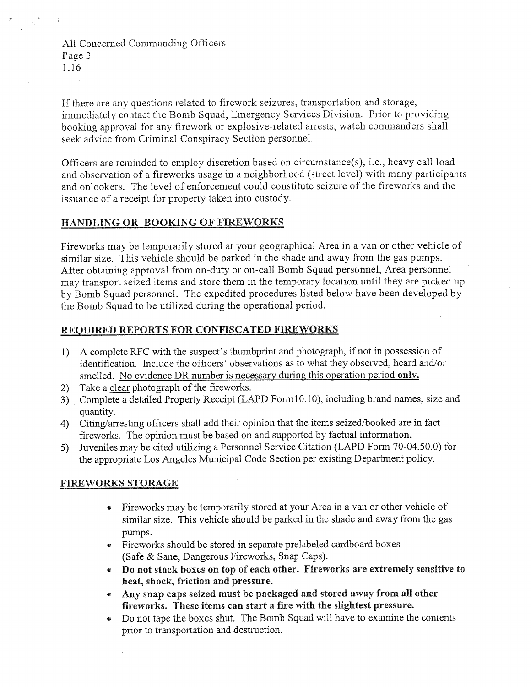All Concerned Commanding Officers Page 3 1.16

If there are any questions related to firework seizures, transportation and storage, immediately contact the bomb Squad, Emergency Services Division. Prior to providing booking approval for any firework or explosive-related arrests, watch commanders shall seek advice from Criminal Conspiracy Section personnel.

Officers are reminded to employ discretion based on circumstance(s), i.e., heavy call load and observation of a fireworks usage in a neighborhood (street level) with many participants and onlookers. The level of enforcement could constitute seizure of the fireworks and the issuance of a receipt for property taken into custody.

# HANDLING OR BOOKING OF FIREWORKS

Fireworks maybe temporarily stored at your geographical Area in a van or other vehicle of similar size. This vehicle should be parked in the shade and away from the gas pumps. After obtaining approval from on-duty or on-call Bomb Squad personnel, Area personnel may transport seized items and store them in the temporary location until they are picked up by Bomb Squad personnel. The expedited procedures listed below have been developed by the Bomb Squad to be utilized during the operational period.

## REQUIRED REPORTS FOR CONFISCATED FIREWORKS

- 1) A complete RFC with the suspect's thumbprint and photograph, if not in possession of identification. Include the officers' observations as to what they observed, heard and/or smelled. No evidence DR number is necessary during this operation period only.
- 2) Take a clear photograph of the fireworks.
- 3) Complete a detailed Property Receipt (LAPD Form10.10), including brand names, size and quantity.
- 4) Citing/arresting officers shall add their opinion that the items seized/booked are in fact fireworks. The opinion must be based on and supported by factual information.
- 5) Juveniles may be cited utilizing a Personnel Service Citation (LAPD Form 70-04.50.0) for the appropriate Los Angeles Municipal Code Section per existing Department policy.

# FIREWORKS STORAGE

- Fireworks may be temporarily stored at your Area in a van or other vehicle of similar size. This vehicle should be parked in the shade and away from the gas pumps.
- ~ Fireworks should be stored in separate prelabeled cardboard boxes (Safe  $&$  Sane, Dangerous Fireworks, Snap Caps).
- Do not stack boxes on top of each other. Fireworks are extremely sensitive to heat, shock, friction and pressure.
- Any snap caps seized must be packaged and stored away from all other fireworks. These items can start a fire with the slightest pressure.
- ~ Do not tape the boxes shut. The bomb squad will have to examine the contents prior to transportation and destruction.